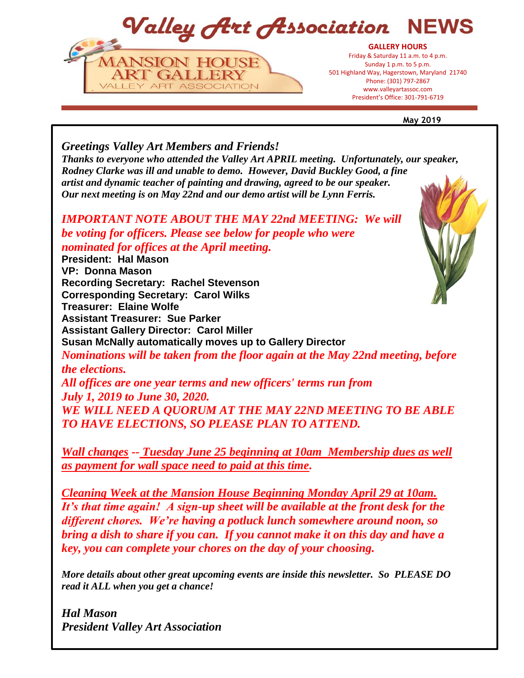Valley Art Association NEWS



**May 2019**

*Greetings Valley Art Members and Friends! Thanks to everyone who attended the Valley Art APRIL meeting. Unfortunately, our speaker, Rodney Clarke was ill and unable to demo. However, David Buckley Good, a fine artist and dynamic teacher of painting and drawing, agreed to be our speaker. Our next meeting is on May 22nd and our demo artist will be Lynn Ferris.*

*IMPORTANT NOTE ABOUT THE MAY 22nd MEETING: We will be voting for officers. Please see below for people who were nominated for offices at the April meeting.*

**President: Hal Mason VP: Donna Mason Recording Secretary: Rachel Stevenson Corresponding Secretary: Carol Wilks Treasurer: Elaine Wolfe Assistant Treasurer: Sue Parker Assistant Gallery Director: Carol Miller Susan McNally automatically moves up to Gallery Director** *Nominations will be taken from the floor again at the May 22nd meeting, before the elections. All offices are one year terms and new officers' terms run from July 1, 2019 to June 30, 2020. WE WILL NEED A QUORUM AT THE MAY 22ND MEETING TO BE ABLE TO HAVE ELECTIONS, SO PLEASE PLAN TO ATTEND.*

*Wall changes -- Tuesday June 25 beginning at 10am Membership dues as well as payment for wall space need to paid at this time.*

*Cleaning Week at the Mansion House Beginning Monday April 29 at 10am. It's that time again! A sign-up sheet will be available at the front desk for the different chores. We're having a potluck lunch somewhere around noon, so bring a dish to share if you can. If you cannot make it on this day and have a key, you can complete your chores on the day of your choosing.*

*More details about other great upcoming events are inside this newsletter. So PLEASE DO read it ALL when you get a chance!* 

*Hal Mason President Valley Art Association*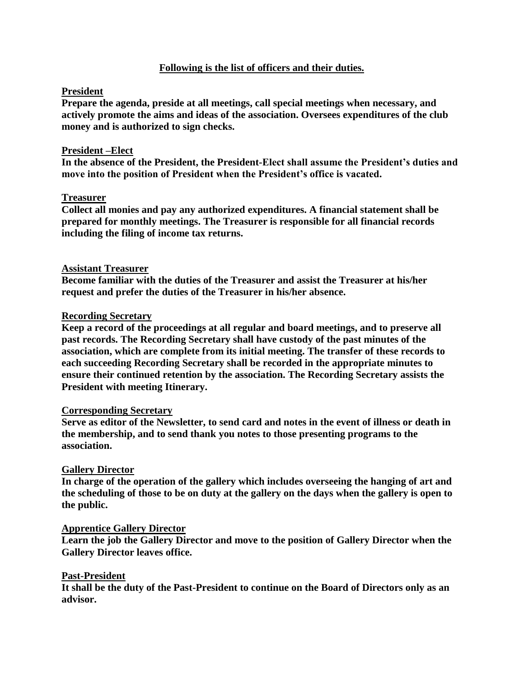# **Following is the list of officers and their duties.**

# **President**

**Prepare the agenda, preside at all meetings, call special meetings when necessary, and actively promote the aims and ideas of the association. Oversees expenditures of the club money and is authorized to sign checks.**

# **President –Elect**

**In the absence of the President, the President-Elect shall assume the President's duties and move into the position of President when the President's office is vacated.**

# **Treasurer**

**Collect all monies and pay any authorized expenditures. A financial statement shall be prepared for monthly meetings. The Treasurer is responsible for all financial records including the filing of income tax returns.**

# **Assistant Treasurer**

**Become familiar with the duties of the Treasurer and assist the Treasurer at his/her request and prefer the duties of the Treasurer in his/her absence.**

# **Recording Secretary**

**Keep a record of the proceedings at all regular and board meetings, and to preserve all past records. The Recording Secretary shall have custody of the past minutes of the association, which are complete from its initial meeting. The transfer of these records to each succeeding Recording Secretary shall be recorded in the appropriate minutes to ensure their continued retention by the association. The Recording Secretary assists the President with meeting Itinerary.**

## **Corresponding Secretary**

**Serve as editor of the Newsletter, to send card and notes in the event of illness or death in the membership, and to send thank you notes to those presenting programs to the association.**

# **Gallery Director**

**In charge of the operation of the gallery which includes overseeing the hanging of art and the scheduling of those to be on duty at the gallery on the days when the gallery is open to the public.**

## **Apprentice Gallery Director**

**Learn the job the Gallery Director and move to the position of Gallery Director when the Gallery Director leaves office.**

## **Past-President**

**It shall be the duty of the Past-President to continue on the Board of Directors only as an advisor.**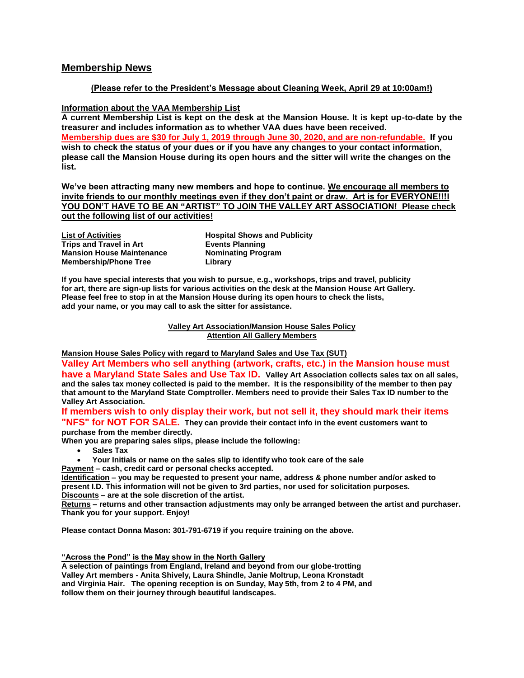# **Membership News**

## **(Please refer to the President's Message about Cleaning Week, April 29 at 10:00am!)**

#### **Information about the VAA Membership List**

**A current Membership List is kept on the desk at the Mansion House. It is kept up-to-date by the treasurer and includes information as to whether VAA dues have been received. Membership dues are \$30 for July 1, 2019 through June 30, 2020, and are non-refundable. If you wish to check the status of your dues or if you have any changes to your contact information, please call the Mansion House during its open hours and the sitter will write the changes on the list.**

**We've been attracting many new members and hope to continue. We encourage all members to invite friends to our monthly meetings even if they don't paint or draw. Art is for EVERYONE!!!I YOU DON'T HAVE TO BE AN "ARTIST" TO JOIN THE VALLEY ART ASSOCIATION! Please check out the following list of our activities!**

| <b>List of Activities</b>        |
|----------------------------------|
| <b>Trips and Travel in Art</b>   |
| <b>Mansion House Maintenance</b> |
| <b>Membership/Phone Tree</b>     |

**Hospital Shows and Publicity Events Planning Nominating Program Library**

**If you have special interests that you wish to pursue, e.g., workshops, trips and travel, publicity for art, there are sign-up lists for various activities on the desk at the Mansion House Art Gallery. Please feel free to stop in at the Mansion House during its open hours to check the lists, add your name, or you may call to ask the sitter for assistance.**

> **Valley Art Association/Mansion House Sales Policy Attention All Gallery Members**

**Mansion House Sales Policy with regard to Maryland Sales and Use Tax (SUT)**

**Valley Art Members who sell anything (artwork, crafts, etc.) in the Mansion house must have a Maryland State Sales and Use Tax ID. Valley Art Association collects sales tax on all sales, and the sales tax money collected is paid to the member. It is the responsibility of the member to then pay that amount to the Maryland State Comptroller. Members need to provide their Sales Tax ID number to the Valley Art Association.** 

**If members wish to only display their work, but not sell it, they should mark their items "NFS" for NOT FOR SALE. They can provide their contact info in the event customers want to purchase from the member directly.** 

**When you are preparing sales slips, please include the following:**

- **Sales Tax**
- **Your Initials or name on the sales slip to identify who took care of the sale**

**Payment – cash, credit card or personal checks accepted.**

**Identification – you may be requested to present your name, address & phone number and/or asked to present I.D. This information will not be given to 3rd parties, nor used for solicitation purposes. Discounts – are at the sole discretion of the artist.**

**Returns – returns and other transaction adjustments may only be arranged between the artist and purchaser. Thank you for your support. Enjoy!**

**Please contact Donna Mason: 301-791-6719 if you require training on the above.**

**"Across the Pond" is the May show in the North Gallery**

**A selection of paintings from England, Ireland and beyond from our globe-trotting Valley Art members - Anita Shively, Laura Shindle, Janie Moltrup, Leona Kronstadt and Virginia Hair. The opening reception is on Sunday, May 5th, from 2 to 4 PM, and follow them on their journey through beautiful landscapes.**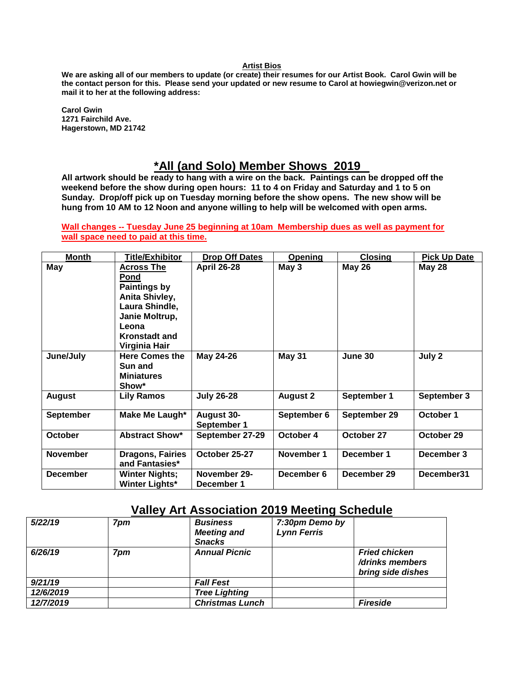#### **Artist Bios**

**We are asking all of our members to update (or create) their resumes for our Artist Book. Carol Gwin will be the contact person for this. Please send your updated or new resume to Carol at howiegwin@verizon.net or mail it to her at the following address:**

**Carol Gwin 1271 Fairchild Ave. Hagerstown, MD 21742**

# **\*All (and Solo) Member Shows 2019**

**All artwork should be ready to hang with a wire on the back. Paintings can be dropped off the weekend before the show during open hours: 11 to 4 on Friday and Saturday and 1 to 5 on Sunday. Drop/off pick up on Tuesday morning before the show opens. The new show will be hung from 10 AM to 12 Noon and anyone willing to help will be welcomed with open arms.** 

**Wall changes -- Tuesday June 25 beginning at 10am Membership dues as well as payment for wall space need to paid at this time.**

| <b>Month</b>    | Title/Exhibitor                                                                                                                                                 | <b>Drop Off Dates</b>            | Opening         | <b>Closing</b> | <b>Pick Up Date</b> |
|-----------------|-----------------------------------------------------------------------------------------------------------------------------------------------------------------|----------------------------------|-----------------|----------------|---------------------|
| May             | <b>Across The</b><br><b>Pond</b><br><b>Paintings by</b><br>Anita Shivley,<br>Laura Shindle,<br>Janie Moltrup,<br>Leona<br><b>Kronstadt and</b><br>Virginia Hair | <b>April 26-28</b>               | May 3           | <b>May 26</b>  | <b>May 28</b>       |
| June/July       | <b>Here Comes the</b><br>Sun and<br><b>Miniatures</b><br>Show*                                                                                                  | May 24-26                        | <b>May 31</b>   | June 30        | July 2              |
| <b>August</b>   | <b>Lily Ramos</b>                                                                                                                                               | <b>July 26-28</b>                | <b>August 2</b> | September 1    | September 3         |
| September       | Make Me Laugh*                                                                                                                                                  | <b>August 30-</b><br>September 1 | September 6     | September 29   | October 1           |
| <b>October</b>  | <b>Abstract Show*</b>                                                                                                                                           | September 27-29                  | October 4       | October 27     | October 29          |
| <b>November</b> | <b>Dragons, Fairies</b><br>and Fantasies*                                                                                                                       | October 25-27                    | November 1      | December 1     | December 3          |
| <b>December</b> | <b>Winter Nights;</b><br><b>Winter Lights*</b>                                                                                                                  | November 29-<br>December 1       | December 6      | December 29    | December31          |

# **Valley Art Association 2019 Meeting Schedule**

| 5/22/19   | 7pm | <b>Business</b><br><b>Meeting and</b><br><b>Snacks</b> | 7:30pm Demo by<br><b>Lynn Ferris</b> |                                                              |
|-----------|-----|--------------------------------------------------------|--------------------------------------|--------------------------------------------------------------|
| 6/26/19   | 7pm | <b>Annual Picnic</b>                                   |                                      | <b>Fried chicken</b><br>/drinks members<br>bring side dishes |
| 9/21/19   |     | <b>Fall Fest</b>                                       |                                      |                                                              |
| 12/6/2019 |     | <b>Tree Lighting</b>                                   |                                      |                                                              |
| 12/7/2019 |     | <b>Christmas Lunch</b>                                 |                                      | <b>Fireside</b>                                              |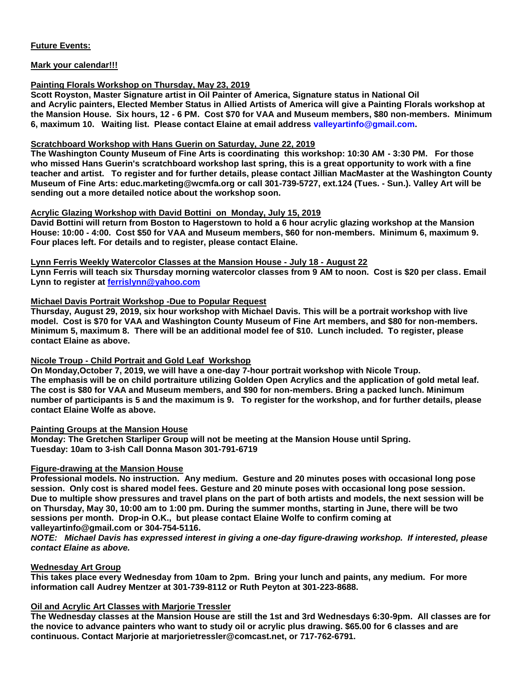## **Future Events:**

## **Mark your calendar!!!**

## **Painting Florals Workshop on Thursday, May 23, 2019**

**Scott Royston, Master Signature artist in Oil Painter of America, Signature status in National Oil and Acrylic painters, Elected Member Status in Allied Artists of America will give a Painting Florals workshop at the Mansion House. Six hours, 12 - 6 PM. Cost \$70 for VAA and Museum members, \$80 non-members. Minimum 6, maximum 10. Waiting list. Please contact Elaine at email address [valleyartinfo@gmail.com.](mailto:valleyartinfo@gmail.com)**

## **Scratchboard Workshop with Hans Guerin on Saturday, June 22, 2019**

**The Washington County Museum of Fine Arts is coordinating this workshop: 10:30 AM - 3:30 PM. For those who missed Hans Guerin's scratchboard workshop last spring, this is a great opportunity to work with a fine teacher and artist. To register and for further details, please contact Jillian MacMaster at the Washington County Museum of Fine Arts: educ.marketing@wcmfa.org or call 301-739-5727, ext.124 (Tues. - Sun.). Valley Art will be sending out a more detailed notice about the workshop soon.**

## **Acrylic Glazing Workshop with David Bottini on Monday, July 15, 2019**

**David Bottini will return from Boston to Hagerstown to hold a 6 hour acrylic glazing workshop at the Mansion House: 10:00 - 4:00. Cost \$50 for VAA and Museum members, \$60 for non-members. Minimum 6, maximum 9. Four places left. For details and to register, please contact Elaine.**

#### **Lynn Ferris Weekly Watercolor Classes at the Mansion House - July 18 - August 22**

**Lynn Ferris will teach six Thursday morning watercolor classes from 9 AM to noon. Cost is \$20 per class. Email Lynn to register at [ferrislynn@yahoo.com](mailto:ferrislynn@yahoo.com)**

## **Michael Davis Portrait Workshop -Due to Popular Request**

**Thursday, August 29, 2019, six hour workshop with Michael Davis. This will be a portrait workshop with live model. Cost is \$70 for VAA and Washington County Museum of Fine Art members, and \$80 for non-members. Minimum 5, maximum 8. There will be an additional model fee of \$10. Lunch included. To register, please contact Elaine as above.**

#### **Nicole Troup - Child Portrait and Gold Leaf Workshop**

**On Monday,October 7, 2019, we will have a one-day 7-hour portrait workshop with Nicole Troup. The emphasis will be on child portraiture utilizing Golden Open Acrylics and the application of gold metal leaf. The cost is \$80 for VAA and Museum members, and \$90 for non-members. Bring a packed lunch. Minimum number of participants is 5 and the maximum is 9. To register for the workshop, and for further details, please contact Elaine Wolfe as above.**

#### **Painting Groups at the Mansion House**

**Monday: The Gretchen Starliper Group will not be meeting at the Mansion House until Spring. Tuesday: 10am to 3-ish Call Donna Mason 301-791-6719**

## **Figure-drawing at the Mansion House**

**Professional models. No instruction. Any medium. Gesture and 20 minutes poses with occasional long pose session. Only cost is shared model fees. Gesture and 20 minute poses with occasional long pose session. Due to multiple show pressures and travel plans on the part of both artists and models, the next session will be on Thursday, May 30, 10:00 am to 1:00 pm. During the summer months, starting in June, there will be two sessions per month. Drop-in O.K., but please contact Elaine Wolfe to confirm coming at valleyartinfo@gmail.com or 304-754-5116.**

*NOTE: Michael Davis has expressed interest in giving a one-day figure-drawing workshop. If interested, please contact Elaine as above.*

#### **Wednesday Art Group**

**This takes place every Wednesday from 10am to 2pm. Bring your lunch and paints, any medium. For more information call Audrey Mentzer at 301-739-8112 or Ruth Peyton at 301-223-8688.**

## **Oil and Acrylic Art Classes with Marjorie Tressler**

**The Wednesday classes at the Mansion House are still the 1st and 3rd Wednesdays 6:30-9pm. All classes are for the novice to advance painters who want to study oil or acrylic plus drawing. \$65.00 for 6 classes and are continuous. Contact Marjorie at marjorietressler@comcast.net, or 717-762-6791.**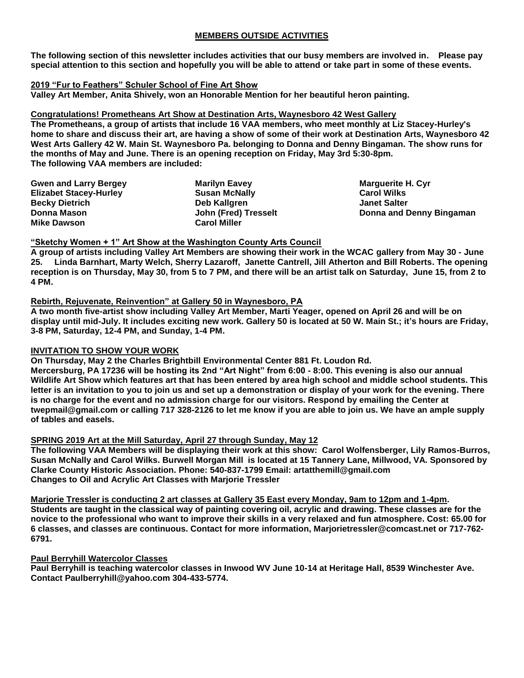## **MEMBERS OUTSIDE ACTIVITIES**

**The following section of this newsletter includes activities that our busy members are involved in. Please pay special attention to this section and hopefully you will be able to attend or take part in some of these events.**

## **2019 "Fur to Feathers" Schuler School of Fine Art Show**

**Valley Art Member, Anita Shively, won an Honorable Mention for her beautiful heron painting.** 

## **Congratulations! Prometheans Art Show at Destination Arts, Waynesboro 42 West Gallery**

**The Prometheans, a group of artists that include 16 VAA members, who meet monthly at Liz Stacey-Hurley's home to share and discuss their art, are having a show of some of their work at Destination Arts, Waynesboro 42 West Arts Gallery 42 W. Main St. Waynesboro Pa. belonging to Donna and Denny Bingaman. The show runs for the months of May and June. There is an opening reception on Friday, May 3rd 5:30-8pm. The following VAA members are included:**

| <b>Gwen and Larry Bergey</b>  | <b>Marilyn Eavey</b> |
|-------------------------------|----------------------|
| <b>Elizabet Stacey-Hurley</b> | <b>Susan McNally</b> |
| <b>Becky Dietrich</b>         | Deb Kallgren         |
| Donna Mason                   | John (Fred) Tresselt |
| <b>Mike Dawson</b>            | <b>Carol Miller</b>  |

**Marguerite H. Cyr Carol Wilks Janet Salter Donna and Denny Bingaman**

## **"Sketchy Women + 1" Art Show at the Washington County Arts Council**

**A group of artists including Valley Art Members are showing their work in the WCAC gallery from May 30 - June 25. Linda Barnhart, Marty Welch, Sherry Lazaroff, Janette Cantrell, Jill Atherton and Bill Roberts. The opening reception is on Thursday, May 30, from 5 to 7 PM, and there will be an artist talk on Saturday, June 15, from 2 to 4 PM.**

## **Rebirth, Rejuvenate, Reinvention" at Gallery 50 in Waynesboro, PA**

**A two month five-artist show including Valley Art Member, Marti Yeager, opened on April 26 and will be on display until mid-July. It includes exciting new work. Gallery 50 is located at 50 W. Main St.; it's hours are Friday, 3-8 PM, Saturday, 12-4 PM, and Sunday, 1-4 PM.**

## **INVITATION TO SHOW YOUR WORK**

**On Thursday, May 2 the Charles Brightbill Environmental Center 881 Ft. Loudon Rd.** 

**Mercersburg, PA 17236 will be hosting its 2nd "Art Night" from 6:00 - 8:00. This evening is also our annual Wildlife Art Show which features art that has been entered by area high school and middle school students. This letter is an invitation to you to join us and set up a demonstration or display of your work for the evening. There is no charge for the event and no admission charge for our visitors. Respond by emailing the Center at twepmail@gmail.com or calling 717 328-2126 to let me know if you are able to join us. We have an ample supply of tables and easels.**

## **SPRING 2019 Art at the Mill Saturday, April 27 through Sunday, May 12**

**The following VAA Members will be displaying their work at this show: Carol Wolfensberger, Lily Ramos-Burros, Susan McNally and Carol Wilks. Burwell Morgan Mill is located at 15 Tannery Lane, Millwood, VA. Sponsored by Clarke County Historic Association. Phone: 540-837-1799 Email: artatthemill@gmail.com Changes to Oil and Acrylic Art Classes with Marjorie Tressler**

**Marjorie Tressler is conducting 2 art classes at Gallery 35 East every Monday, 9am to 12pm and 1-4pm. Students are taught in the classical way of painting covering oil, acrylic and drawing. These classes are for the novice to the professional who want to improve their skills in a very relaxed and fun atmosphere. Cost: 65.00 for 6 classes, and classes are continuous. Contact for more information, Marjorietressler@comcast.net or 717-762- 6791.** 

#### **Paul Berryhill Watercolor Classes**

**Paul Berryhill is teaching watercolor classes in Inwood WV June 10-14 at Heritage Hall, 8539 Winchester Ave. Contact Paulberryhill@yahoo.com 304-433-5774.**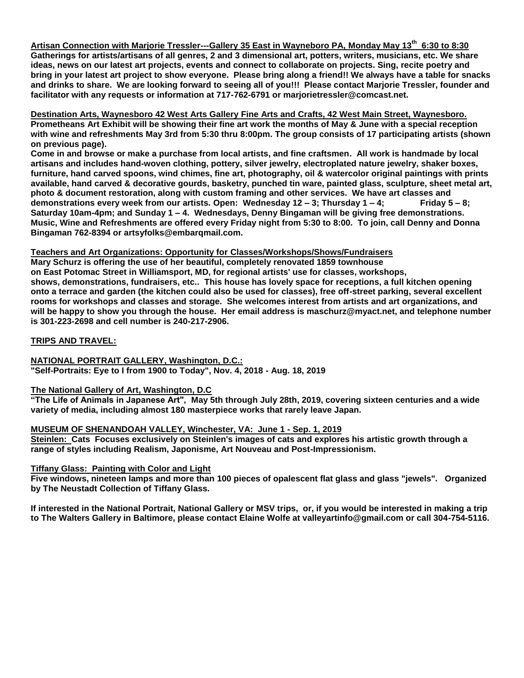**Artisan Connection with Marjorie Tressler---Gallery 35 East in Wayneboro PA, Monday May 13th 6:30 to 8:30 Gatherings for artists/artisans of all genres, 2 and 3 dimensional art, potters, writers, musicians, etc. We share ideas, news on our latest art projects, events and connect to collaborate on projects. Sing, recite poetry and bring in your latest art project to show everyone. Please bring along a friend!! We always have a table for snacks and drinks to share. We are looking forward to seeing all of you!!! Please contact Marjorie Tressler, founder and facilitator with any requests or information at 717-762-6791 or marjorietressler@comcast.net.** 

**Destination Arts, Waynesboro 42 West Arts Gallery Fine Arts and Crafts, 42 West Main Street, Waynesboro. Prometheans Art Exhibit will be showing their fine art work the months of May & June with a special reception with wine and refreshments May 3rd from 5:30 thru 8:00pm. The group consists of 17 participating artists (shown on previous page).**

**Come in and browse or make a purchase from local artists, and fine craftsmen. All work is handmade by local artisans and includes hand-woven clothing, pottery, silver jewelry, electroplated nature jewelry, shaker boxes, furniture, hand carved spoons, wind chimes, fine art, photography, oil & watercolor original paintings with prints available, hand carved & decorative gourds, basketry, punched tin ware, painted glass, sculpture, sheet metal art, photo & document restoration, along with custom framing and other services. We have art classes and demonstrations every week from our artists. Open: Wednesday 12 – 3; Thursday 1 – 4; Friday 5 – 8; Saturday 10am-4pm; and Sunday 1 – 4. Wednesdays, Denny Bingaman will be giving free demonstrations. Music, Wine and Refreshments are offered every Friday night from 5:30 to 8:00. To join, call Denny and Donna Bingaman 762-8394 or artsyfolks@embarqmail.com.** 

## **Teachers and Art Organizations: Opportunity for Classes/Workshops/Shows/Fundraisers**

**Mary Schurz is offering the use of her beautiful, completely renovated 1859 townhouse on East Potomac Street in Williamsport, MD, for regional artists' use for classes, workshops, shows, demonstrations, fundraisers, etc.. This house has lovely space for receptions, a full kitchen opening onto a terrace and garden (the kitchen could also be used for classes), free off-street parking, several excellent rooms for workshops and classes and storage. She welcomes interest from artists and art organizations, and will be happy to show you through the house. Her email address is maschurz@myact.net, and telephone number is 301-223-2698 and cell number is 240-217-2906.**

#### **TRIPS AND TRAVEL:**

**NATIONAL PORTRAIT GALLERY, Washington, D.C.: "Self-Portraits: Eye to I from 1900 to Today", Nov. 4, 2018 - Aug. 18, 2019**

## **The National Gallery of Art, Washington, D.C**

**"The Life of Animals in Japanese Art", May 5th through July 28th, 2019, covering sixteen centuries and a wide variety of media, including almost 180 masterpiece works that rarely leave Japan.**

#### **MUSEUM OF SHENANDOAH VALLEY, Winchester, VA: June 1 - Sep. 1, 2019**

**Steinlen: Cats Focuses exclusively on Steinlen's images of cats and explores his artistic growth through a range of styles including Realism, Japonisme, Art Nouveau and Post-Impressionism.**

#### **Tiffany Glass: Painting with Color and Light**

**Five windows, nineteen lamps and more than 100 pieces of opalescent flat glass and glass "jewels". Organized by The Neustadt Collection of Tiffany Glass.**

**If interested in the National Portrait, National Gallery or MSV trips, or, if you would be interested in making a trip to The Walters Gallery in Baltimore, please contact Elaine Wolfe at valleyartinfo@gmail.com or call 304-754-5116.**